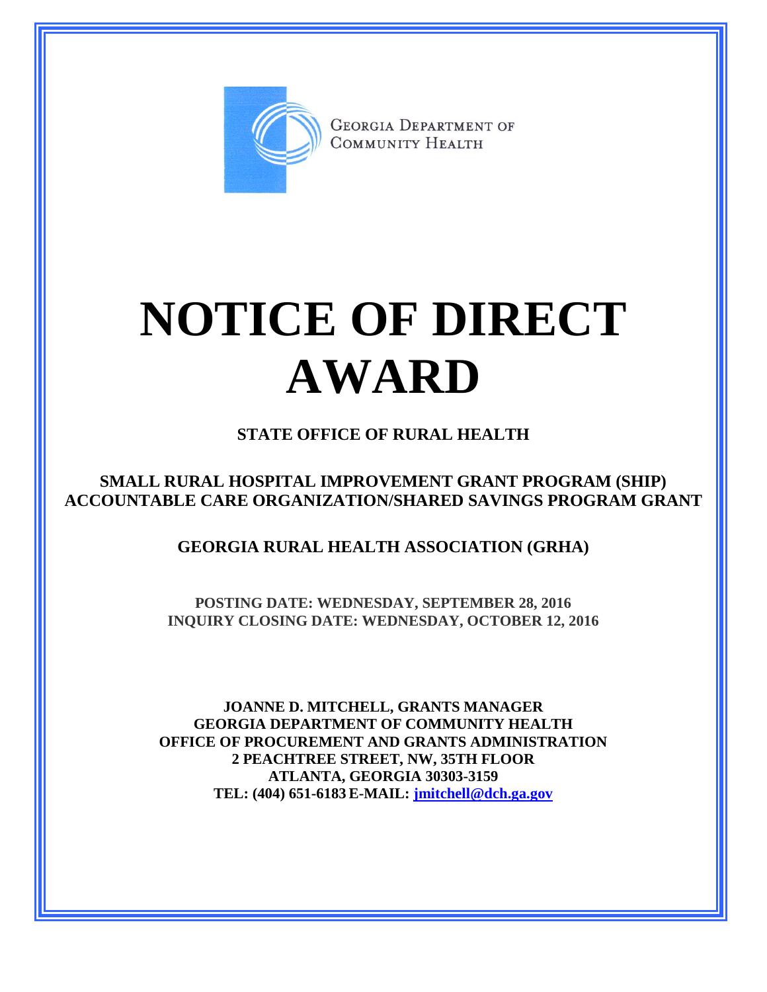

**GEORGIA DEPARTMENT OF** COMMUNITY HEALTH

## **NOTICE OF DIRECT AWARD**

## **STATE OFFICE OF RURAL HEALTH**

**SMALL RURAL HOSPITAL IMPROVEMENT GRANT PROGRAM (SHIP) ACCOUNTABLE CARE ORGANIZATION/SHARED SAVINGS PROGRAM GRANT**

**GEORGIA RURAL HEALTH ASSOCIATION (GRHA)**

**POSTING DATE: WEDNESDAY, SEPTEMBER 28, 2016 INQUIRY CLOSING DATE: WEDNESDAY, OCTOBER 12, 2016**

**JOANNE D. MITCHELL, GRANTS MANAGER GEORGIA DEPARTMENT OF COMMUNITY HEALTH OFFICE OF PROCUREMENT AND GRANTS ADMINISTRATION 2 PEACHTREE STREET, NW, 35TH FLOOR ATLANTA, GEORGIA 30303-3159 TEL: (404) 651-6183 E-MAIL: [jmitchell@dch.ga.gov](mailto:awatson@dch.ga.gov)**